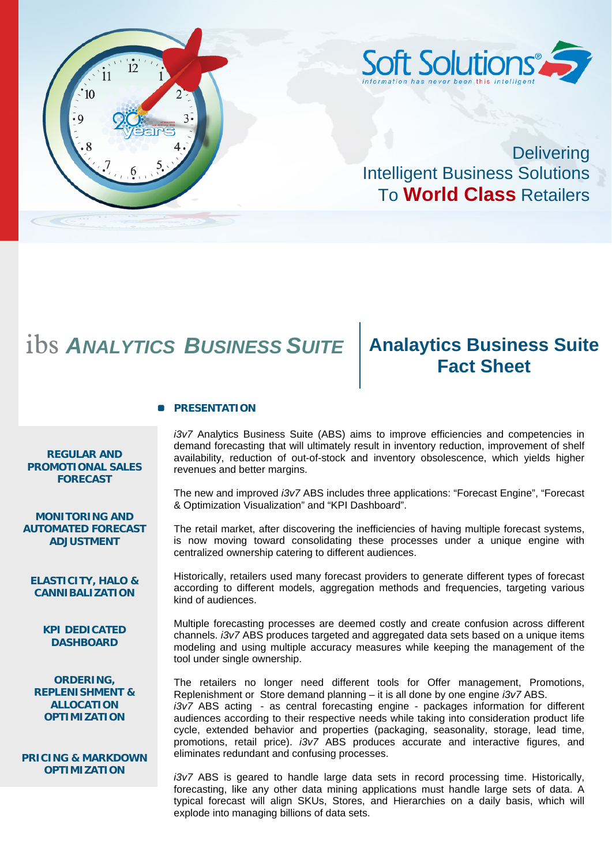

**Delivering** Intelligent Business Solutions To **World Class** Retailers

## ibs *ANALYTICS BUSINESS SUITE* **Analaytics Business Suite**

# **Fact Sheet**

#### **PRESENTATION**

**REGULAR AND PROMOTIONAL SALES FORECAST**

**MONITORING AND AUTOMATED FORECAST ADJUSTMENT** 

**ELASTICITY, HALO & CANNIBALIZATION**

> **KPI DEDICATED DASHBOARD**

**ORDERING, REPLENISHMENT & ALLOCATION OPTIMIZATION** 

**PRICING & MARKDOWN OPTIMIZATION**

*i3v7* Analytics Business Suite (ABS) aims to improve efficiencies and competencies in demand forecasting that will ultimately result in inventory reduction, improvement of shelf availability, reduction of out-of-stock and inventory obsolescence, which yields higher revenues and better margins.

The new and improved *i3v7* ABS includes three applications: "Forecast Engine", "Forecast & Optimization Visualization" and "KPI Dashboard".

The retail market, after discovering the inefficiencies of having multiple forecast systems, is now moving toward consolidating these processes under a unique engine with centralized ownership catering to different audiences.

Historically, retailers used many forecast providers to generate different types of forecast according to different models, aggregation methods and frequencies, targeting various kind of audiences.

Multiple forecasting processes are deemed costly and create confusion across different channels. *i3v7* ABS produces targeted and aggregated data sets based on a unique items modeling and using multiple accuracy measures while keeping the management of the tool under single ownership.

The retailers no longer need different tools for Offer management, Promotions, Replenishment or Store demand planning – it is all done by one engine *i3v7* ABS. *i3v7* ABS acting - as central forecasting engine - packages information for different audiences according to their respective needs while taking into consideration product life cycle, extended behavior and properties (packaging, seasonality, storage, lead time, promotions, retail price). *i3v7* ABS produces accurate and interactive figures, and eliminates redundant and confusing processes.

*i3v7* ABS is geared to handle large data sets in record processing time. Historically, forecasting, like any other data mining applications must handle large sets of data. A typical forecast will align SKUs, Stores, and Hierarchies on a daily basis, which will explode into managing billions of data sets.